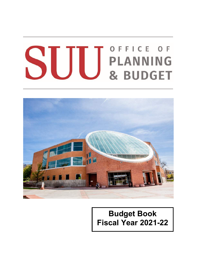# OFFICE OF **SUU** BLANNING



# **Budget Book Fiscal Year 2021-22**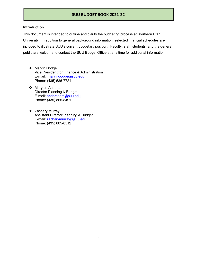### **Introduction**

This document is intended to outline and clarify the budgeting process at Southern Utah University. In addition to general background information, selected financial schedules are included to illustrate SUU's current budgetary position. Faculty, staff, students, and the general public are welcome to contact the SUU Budget Office at any time for additional information.

- ❖ Marvin Dodge Vice President for Finance & Administration E-mail: [marvindodge@suu.edu](mailto:marvindodge@suu.edu) Phone: (435) 586-7721
- Mary Jo Anderson Director Planning & Budget E-mail: [andersonm@suu.edu](mailto:andersonm@suu.edu) Phone: (435) 865-8491
- ❖ Zachary Murray Assistant Director Planning & Budget E-mail: [zacharymurray@suu.edu](mailto:zacharymurray@suu.edu) Phone: (435) 865-8512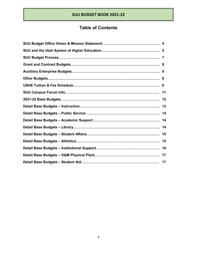# **Table of Contents**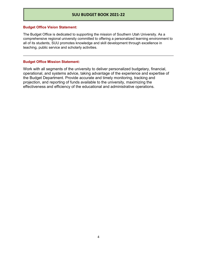### **Budget Office Vision Statement:**

The Budget Office is dedicated to supporting the mission of Southern Utah University. As a comprehensive regional university committed to offering a personalized learning environment to all of its students, SUU promotes knowledge and skill development through excellence in teaching, public service and scholarly activities.

### **Budget Office Mission Statement:**

Work with all segments of the university to deliver personalized budgetary, financial, operational, and systems advice, taking advantage of the experience and expertise of the Budget Department. Provide accurate and timely monitoring, tracking and projection, and reporting of funds available to the university, maximizing the effectiveness and efficiency of the educational and administrative operations.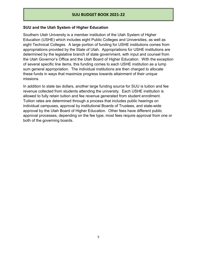# **SUU and the Utah System of Higher Education**

Southern Utah University is a member institution of the Utah System of Higher Education (USHE) which includes eight Public Colleges and Universities, as well as eight Technical Colleges. A large portion of funding for USHE institutions comes from appropriations provided by the State of Utah. Appropriations for USHE institutions are determined by the legislative branch of state government, with input and counsel from the Utah Governor's Office and the Utah Board of Higher Education. With the exception of several specific line items, this funding comes to each USHE institution as a lump sum general appropriation. The individual institutions are then charged to allocate these funds in ways that maximize progress towards attainment of their unique missions.

In addition to state tax dollars, another large funding source for SUU is tuition and fee revenue collected from students attending the university. Each USHE institution is allowed to fully retain tuition and fee revenue generated from student enrollment. Tuition rates are determined through a process that includes public hearings on individual campuses, approval by institutional Boards of Trustees, and state-wide approval by the Utah Board of Higher Education. Other fees have different public approval processes, depending on the fee type; most fees require approval from one or both of the governing boards.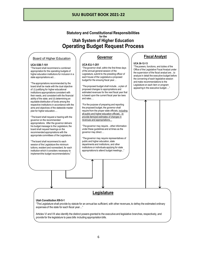# **Statutory and Constitutional Responsibilities for the Utah System of Higher Education Operating Budget Request Process**

# **Board of Regents** Board of Higher Education

### **UCA 53B-7-101**

"The board shall recommend a combined appropriation for the operating budgets of higher education institutions for inclusion in a state appropriations act…

"The appropriations recommended by the board shall be made with the dual objective of: (i) justifying for higher educational institutions appropriations consistent with their needs, and consistent with the financial ability of the state; and (ii) determining an equitable distribution of funds among the respective institutions in accordance with the aims and objectives of the statewide master plan for higher education.…

"The board shall request a hearing with the governor on the recommended appropriations. After the governor delivers his budget message to the Legislature, the board shall request hearings on the recommended appropriations with the appropriate committees of the Legislature.

"The board shall recommend to each session of the Legislature the minimum tuitions, resident and nonresident, for each institution which it considers necessary to implement the budget recommendations."

# **Governor**

### **UCA 63J-1-201**

"The governor shall, within the first three days of the annual general session of the Legislature, submit to the presiding officer of each house of the Legislature a proposed budget for the ensuing fiscal year…

"The proposed budget shall include…a plan of proposed changes to appropriations and estimated revenues for the next fiscal year that is based upon the current fiscal year tax laws and rates….

"For the purpose of preparing and reporting the proposed budget, the governor shall require from the proper state officials, including all public and higher education officials…to provide itemized estimates of changes in revenues and appropriations…

"The governor may require…other information under these guidelines and at times as the governor may direct….

"The governor may require representatives of public and higher education, state departments and institutions, and other institutions or individuals applying for state appropriations to attend budget meetings..."

# **Fiscal Analyst**

### **UCA 36-12-13**

"The powers, functions, and duties of the Office of the Legislative Fiscal Analyst under the supervision of the fiscal analyst are…to analyze in detail the executive budget before the convening of each legislative session and make recommendations to the Legislature on each item or program appearing in the executive budget…."

# **Legislature**

### **Utah Constitution XIII-5-1**

"The Legislature shall provide by statute for an annual tax sufficient, with other revenues, to defray the estimated ordinary expenses of the state for each fiscal year…"

Articles VI and VII also identify the distinct powers granted to the executive and legislative branches, respectively, and provide for the legislature to pass bills including appropriation bills.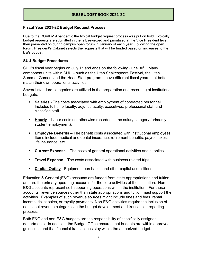# **Fiscal Year 2021-22 Budget Request Process**

Due to the COVID-19 pandemic the typical budget request process was put on hold. Typically budget requests are submitted in the fall, reviewed and prioritized at the Vice President level, then presented on during campus open forum in January of each year. Following the open forum, President's Cabinet selects the requests that will be funded based on increases to the E&G budget.

# **SUU Budget Procedures**

SUU's fiscal year begins on July 1<sup>st</sup> and ends on the following June  $30<sup>th</sup>$ . Many component units within SUU – such as the Utah Shakespeare Festival, the Utah Summer Games, and the Head Start program – have different fiscal years that better match their own operational activities.

Several standard categories are utilized in the preparation and recording of institutional budgets:

- **Salaries** The costs associated with employment of contracted personnel. Includes full-time faculty, adjunct faculty, executives, professional staff and classified staff.
- **Hourly** Labor costs not otherwise recorded in the salary category (primarily student employment).
- **Employee Benefits** The benefit costs associated with institutional employees. Items include medical and dental insurance, retirement benefits, payroll taxes, life insurance, etc.
- **Current Expense** The costs of general operational activities and supplies.
- **Travel Expense** The costs associated with business-related trips.
- **Capital Outlay** Equipment purchases and other capital acquisitions.

Education & General (E&G) accounts are funded from state appropriations and tuition, and are the primary operating accounts for the core activities of the institution. Non-E&G accounts represent self-supporting operations within the institution. For these accounts, revenue sources other than state appropriations and tuition must support the activities. Examples of such revenue sources might include fines and fees, rental income, ticket sales, or royalty payments. Non-E&G activities require the inclusion of additional revenue categories in the budget development and transaction reporting process.

Both E&G and non-E&G budgets are the responsibility of specifically assigned departments. In addition, the Budget Office ensures that budgets are within approved guidelines and that financial transactions stay within the authorized budget.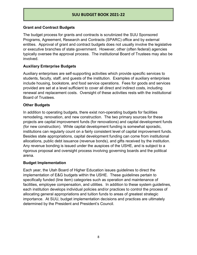# **Grant and Contract Budgets**

The budget process for grants and contracts is scrutinized the SUU Sponsored Programs, Agreement, Research and Contracts (SPARC) office and by external entities. Approval of grant and contract budgets does not usually involve the legislative or executive branches of state government. However, other (often federal) agencies typically oversee the approval process. The institutional Board of Trustees may also be involved.

# **Auxiliary Enterprise Budgets**

Auxiliary enterprises are self-supporting activities which provide specific services to students, faculty, staff, and guests of the institution. Examples of auxiliary enterprises include housing, bookstore, and food service operations. Fees for goods and services provided are set at a level sufficient to cover all direct and indirect costs, including renewal and replacement costs. Oversight of these activities rests with the institutional Board of Trustees.

# **Other Budgets**

In addition to operating budgets, there exist non-operating budgets for facilities remodeling, renovation, and new construction. The two primary sources for these projects are capital improvement funds (for renovations) and capital development funds (for new construction). While capital development funding is somewhat sporadic, institutions can regularly count on a fairly consistent level of capital improvement funds. Besides state appropriations, capital development funding can come from institutional allocations, public debt issuance (revenue bonds), and gifts received by the institution. Any revenue bonding is issued under the auspices of the USHE, and is subject to a rigorous proposal and oversight process involving governing boards and the political arena.

# **Budget Implementation**

Each year, the Utah Board of Higher Education issues guidelines to direct the implementation of E&G budgets within the USHE. These guidelines pertain to specifically funded (line item) categories such as operation and maintenance of facilities, employee compensation, and utilities. In addition to these system guidelines, each institution develops individual policies and/or practices to control the process of allocating general appropriations and tuition funds to areas of greatest strategic importance. At SUU, budget implementation decisions and practices are ultimately determined by the President and President's Council.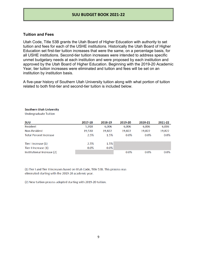### **Tuition and Fees**

Utah Code, Title 53B grants the Utah Board of Higher Education with authority to set tuition and fees for each of the USHE institutions. Historically the Utah Board of Higher Education set first-tier tuition increases that were the same, on a percentage basis, for all USHE institutions. Second-tier tuition increases were intended to address specific unmet budgetary needs at each institution and were proposed by each institution and approved by the Utah Board of Higher Education. Beginning with the 2019-20 Academic Year, tier tuition increases were eliminated and tuition and fees will be set on an institution by institution basis.

A five-year history of Southern Utah University tuition along with what portion of tuition related to both first-tier and second-tier tuition is included below.

### **Southern Utah University**

**Undergraduate Tuition** 

| SUU                           | 2017-18 | 2018-19 | 2019-20 | 2020-21 | 2021-22 |
|-------------------------------|---------|---------|---------|---------|---------|
| Resident                      | 5.918   | 6.006   | 6.006   | 6.006   | 6,006   |
| Non-Resident                  | 19,530  | 19,822  | 19,822  | 19,822  | 19,822  |
| <b>Total Percent Increase</b> | 2.5%    | 1.5%    | $0.0\%$ | $0.0\%$ | $0.0\%$ |
| Tier I Increase (1)           | 2.5%    | 1.5%    |         |         |         |
| Tier II Increase (1)          | $0.0\%$ | $0.0\%$ |         |         |         |
| Institutional Increase (2)    |         |         | $0.0\%$ | $0.0\%$ | $0.0\%$ |

(1) Tier I and Tier II increases based on Utah Code, Title 53B. This process was eliminated starting with the 2019-20 academic year.

(2) New tuition process adopted starting with 2019-20 tuition.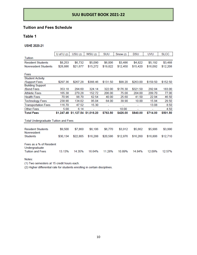# **Tuition and Fees Schedule**

# **Table 1**

**USHE 2020-21** 

|                                                                     | U of $U(2)$ | USU(2)                           | <b>WSU (2)</b> | <b>SUU</b> | Snow (2) | <b>DSU</b> | <b>UVU</b> | <b>SLCC</b> |
|---------------------------------------------------------------------|-------------|----------------------------------|----------------|------------|----------|------------|------------|-------------|
| Tuition                                                             |             |                                  |                |            |          |            |            |             |
| <b>Resident Students</b>                                            | \$8,253     | \$6,732                          | \$5,090        | \$6,006    | \$3,486  | \$4,822    | \$5,192    | \$3,488     |
| <b>Nonresident Students</b>                                         | \$28,886    | \$21,677                         | \$15,272       | \$19,822   | \$12,450 | \$15,420   | \$16,092   | \$12,208    |
|                                                                     |             |                                  |                |            |          |            |            |             |
| Fees                                                                |             |                                  |                |            |          |            |            |             |
| <b>Student Activity</b>                                             |             |                                  |                |            |          |            |            |             |
| /Support Fees                                                       | \$297.36    | \$267.28                         | \$366.46       | \$131.50   | \$99.20  | \$263.00   | \$159.50   | \$152.50    |
| <b>Building Support</b>                                             |             |                                  |                |            |          |            |            |             |
| /Bond Fees                                                          | 353.18      | 294.60                           | 324.14         | 322.00     | \$176.30 | \$321.50   | 292.84     | 183.00      |
| <b>Athletic Fees</b>                                                | 165.38      | 279.28                           | 152.72         | 206.00     | 75.00    | 204.00     | 209.70     | 77.00       |
| <b>Health Fees</b>                                                  | 70.96       | 98.70                            | 62.54          | 40.00      | 25.60    | 41.50      | 22.94      | 46.50       |
| <b>Technology Fees</b>                                              | 238.90      | 134.02                           | 95.04          | 64.00      | 39.90    | 10.00      | 15.94      | 29.50       |
| <b>Transportation Fees</b>                                          | 116.70      | 47.52                            | 15.30          |            |          |            | 13.08      | 8.50        |
| <b>Other Fees</b>                                                   | 5.00        | 6.14                             |                |            | 10.00    |            |            | 4.50        |
| <b>Total Fees</b>                                                   |             | \$1,247.48 \$1,127.54 \$1,016.20 |                | \$763.50   | \$426.00 | \$840.00   | \$714.00   | \$501.50    |
| <b>Total Undergraduate Tuition and Fees</b>                         |             |                                  |                |            |          |            |            |             |
|                                                                     |             |                                  |                |            |          |            |            |             |
| <b>Resident Students</b><br>Nonresident                             | \$9,500     | \$7,860                          | \$6,106        | \$6,770    | \$3,912  | \$5,662    | \$5,906    | \$3,990     |
| <b>Students</b>                                                     | \$30,134    | \$22,805                         | \$16,288       | \$20,586   | \$12,876 | \$16,260   | \$16,806   | \$12,710    |
| Fees as a % of Resident<br>Undergraduate<br><b>Tuition and Fees</b> | 13.13%      | 14.35%                           | 16.64%         | 11.28%     | 10.89%   | 14.84%     | 12.09%     | 12.57%      |
|                                                                     |             |                                  |                |            |          |            |            |             |

### Notes:

(1) Two semesters at 15 credit hours each.

(2) Higher differential rate for students enrolling in certain disciplines.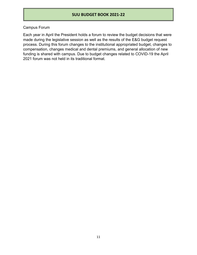# Campus Forum

Each year in April the President holds a forum to review the budget decisions that were made during the legislative session as well as the results of the E&G budget request process. During this forum changes to the institutional appropriated budget, changes to compensation, changes medical and dental premiums, and general allocation of new funding is shared with campus. Due to budget changes related to COVID-19 the April 2021 forum was not held in its traditional format.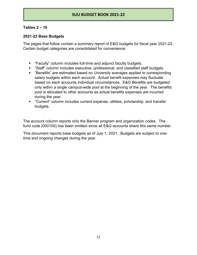# **Tables 2 – 10**

# **2021-22 Base Budgets**

The pages that follow contain a summary report of E&G budgets for fiscal year 2021-22. Certain budget categories are consolidated for convenience:

- "Faculty" column includes full-time and adjunct faculty budgets.
- "Staff" column includes executive, professional, and classified staff budgets.
- "Benefits" are estimated based on University averages applied to corresponding salary budgets within each account. Actual benefit expenses may fluctuate based on each accounts individual circumstances. E&G Benefits are budgeted only within a single campus-wide pool at the beginning of the year. The benefits pool is allocated to other accounts as actual benefits expenses are incurred during the year.
- "Current" column includes current expense, utilities, scholarship, and transfer budgets.

The account column reports only the Banner program and organization codes. The fund code (000100) has been omitted since all E&G accounts share this same number.

This document reports base budgets as of July 1, 2021. Budgets are subject to onetime and ongoing changes during the year.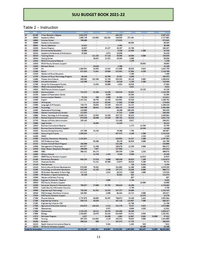# Table 2 – Instruction

|          | GRG                           | <b>DESCRIPTION</b>                                            |                                     |                                    |                          |                          |                                    |                          |                               |                        |
|----------|-------------------------------|---------------------------------------------------------------|-------------------------------------|------------------------------------|--------------------------|--------------------------|------------------------------------|--------------------------|-------------------------------|------------------------|
| 10       | 01190                         | 3 Year Bachelor's Degree                                      | 2,923,879                           |                                    |                          | 643,253                  |                                    |                          | ٠                             | 3,567,132              |
| 10       | 10020                         | <b>Academic Affairs</b>                                       | 1,698,749                           | 143.665                            | 188,191                  | 438,938                  | 257,461                            | ٠                        | ×                             | 2,727,004              |
| 10       | 10060                         | Summer School                                                 | 799.660                             |                                    |                          | 175,925                  |                                    |                          |                               | 975.585                |
| 10       | 10090                         | Academic Accrediation                                         | ۰.                                  | ۰                                  | ٠                        | ٠.                       | 69,505                             | ٠                        | ۰                             | 69,505                 |
| 10       | 10092                         | <b>Faculty Sabbatical</b>                                     | 24,841                              | ٠                                  | ٠                        | 5,465                    | ä,                                 | ٠                        | ٠                             | 30.306                 |
| 10       | 10260                         | Honors Program                                                | 48,087                              | ۰<br>۰                             | 15,157                   | 20,197                   | 24,766                             | $\overline{a}$           | ٠<br>u                        | 108,207                |
| 10       | 10280                         | <b>Environmental Education</b>                                | 15,094                              |                                    | ÷                        | 6,339                    | 22,405                             | 1.500                    |                               | 45,338                 |
| 10<br>10 | 10320<br>10420                | Academic Conferences & Publications<br><b>Tutoring Center</b> | 35,808<br>۰                         | ٠<br>111,185                       | 4.973<br>57,116          | 15.039<br>46,698         | $\overline{\phantom{a}}$<br>16,650 | ÷<br>5.000               | ×,<br>$\ddot{\phantom{0}}$    | 55.820<br>236.649      |
| 10       | 10450                         | <b>Testing Center</b>                                         | ٠                                   | 46.652                             | 21.352                   | 19,594                   | 2,000                              | $\overline{\phantom{a}}$ | ×,                            | 89.598                 |
| 10       | 12010                         | P&VA Instructional Reserve                                    | ٠                                   | ÷                                  | ÷                        | $\overline{\phantom{a}}$ | 2,259                              | ۰                        |                               | 2,259                  |
| 10       | 12020                         | P&VA Faculty Scholarly Support                                | ٠                                   | $\overline{\phantom{a}}$           | ÷                        | ×.                       | $\overline{\phantom{a}}$           | 20.063                   | ٠                             | 20,063                 |
| 10       | 12030                         | <b>Ballroom Dance</b>                                         | ÷                                   | 19,820                             | ÷                        | 4,360                    |                                    | ۰                        |                               | 24,180                 |
| 10       | 12200                         | Art                                                           | 1,088,951                           | 34,655                             | 12.542                   | 471,609                  | 29.028                             | 5.945                    | ٠                             | 1,642.730              |
| 10       | 12300                         | Music                                                         | 672,483                             | 72,641                             | 19,986                   | 312.952                  | 37.094                             | 4,550                    |                               | 1.119.706              |
| 10       | 12330                         | Masters of Music Education                                    | ۰                                   | ×,                                 | $\overline{\phantom{a}}$ | $\ddot{\phantom{0}}$     | 7,480                              | ×,                       | ÷                             | 7,480                  |
| 10       | 12350                         | Masters of Music Technology Program                           | 60,446                              | ٠                                  | 10,700                   | 25,387                   | 8,800                              | u,                       | ٠                             | 105,333                |
| 10       | 12400                         | Theater Arts & Dance                                          | 893,891                             | 192,596                            | 22,750                   | 455,555                  | 29,119                             | 5,005                    | ×                             | 1,598.916              |
| 10       | 12500                         | Arts Administration                                           | 115,499                             | ×                                  | 53,000                   | 48,510                   | 4,150                              | 2,500                    | a,                            | 223,659                |
| 10       | 12700                         | Center for Shakespeare Studies                                | $\sim$                              | 11,034                             | 16,000                   | 4,634                    | 16,016                             | $\overline{\phantom{a}}$ | ۰                             | 47.684                 |
| 10       | 13010                         | <b>H&amp;SS Instructional Reserve</b>                         | $\overline{\phantom{a}}$            | $\overline{\phantom{a}}$           | ۰                        | ×                        | 3,831                              | ٠                        |                               | 3,831                  |
| 10       | 13020                         | H&SS Faculty Schlarly Support                                 | ۰                                   | ×,                                 | ۰                        | ٠                        | ٠                                  | 43.138                   | ۰                             | 43.138                 |
| 10       | 13100                         | Communication                                                 | 722,525                             | 31,480                             | 14.150                   | 316,518                  | 34.032                             | u                        | $\overline{\phantom{a}}$      | 1,118,705              |
| 10       | 13150                         | Speech & Presentation Center                                  | ×,                                  | ۰.                                 | 9,030                    | ÷.                       | 33,364                             | ۰                        | $\overline{\phantom{a}}$      | 42,394                 |
| 10       | 13190                         | <b>Communication Masters</b>                                  | 75,134                              | 480                                | 4.090                    | 31.594                   | 4,323                              |                          |                               | 115.621                |
| 10       | 13200                         | English                                                       | 1,457,281                           | 30,794                             | 14.150                   | 624,991                  | 53,548                             | ä,                       | ×,                            | 2,180,764              |
| 10<br>10 | 13201<br>13300                | Writing Lab<br>Languages & Philosophy                         | 726,278                             | 42.114<br>26,654                   | 63,048<br>13,150         | 17,688<br>316,232        | 57,000<br>24,112                   | ٠                        | $\overline{ }$<br>÷           | 179,850<br>1,106,426   |
| 10       | 13400                         | Psychology                                                    | 846,490                             | 80,042                             | 14,150                   | 389,143                  | 33,435                             | ×                        | ٠                             | 1,363,260              |
| 10       | 13405                         | Doctorate of Psychology                                       | 110,000                             | $\overline{\phantom{a}}$           | ۰                        | 46,200                   | 209,350                            | ٠                        | Ξ                             | 365,550                |
| 10       | 13500                         | Masters Interdisciplinary Studies                             | 112,655                             | ÷                                  | ÷.                       | 47,315                   | 8.066                              |                          | ÷                             | 168.036                |
| 10       | 13600                         | History, Sociology & Anthropology                             | 1.048.221                           | 32.053                             | 14,150                   | 453,715                  | 38,825                             | s                        | ٠                             | 1,586,964              |
| 10       | 13700                         | Political Science & Criminal Justic                           | 673,649                             | 30,400                             | 13,150                   | 295,701                  | 28,810                             |                          |                               | 1,041,710              |
| 10       | 13750                         | Masters of Public Administration                              | 265,448                             | ÷                                  | $\overline{\phantom{a}}$ | 111,488                  | 9,917                              | $\frac{1}{2}$            | $\overline{a}$                | 386,853                |
| 10       | 13800                         | Legal Studies                                                 | $\overline{\phantom{a}}$            | 34.093                             |                          | 14,319                   | ÷                                  | ÷                        |                               | 48.412                 |
| 10       | 14010                         | <b>Business Instructional Reserve</b>                         | ۰                                   | ٠.                                 | $\overline{\phantom{a}}$ | $\sim$                   | 1,175                              | 14,530                   | ×                             | 15,705                 |
| 10       | 14020                         | <b>Business Faculty Scholarly Support</b>                     | $\overline{\phantom{a}}$            | $\overline{\phantom{a}}$           | ÷                        | ٠                        | ÷                                  | 14,546                   | ٠                             | 14,546                 |
| 10       | 14030                         | <b>Business Entrepreneurship</b>                              | 137,599                             | 44,210                             | ٠                        | 76,360                   | 7,798                              | ٠                        | ۰                             | 265,967                |
| 10       | 14100                         | Accounting & Finance                                          | 1,565.654                           | ٠                                  |                          | 657,575                  | 8,100                              | 1.500                    | ۷                             | 2.232.829              |
| 10       | 14200                         | MACC                                                          | ÷                                   | ×,                                 | $\blacksquare$           | ×.                       | ¥.                                 | 1,320                    | $\overline{\phantom{a}}$      | 1,320                  |
| 10       | 14300                         | Analytics, Economics, Marketing                               | 1,254,651                           | ۰                                  | ٠                        | 526,953                  | 14,257                             | 1,500                    | ٠                             | 1,797,361              |
| 10       | 14350                         | SWI Professional Sales                                        | ٠                                   | 93.500                             | ٠                        | 39,270                   | 46,029                             | 3,000                    | ۰                             | 181.799                |
| 10       | 14425                         | Aviation Aircraft Maint Program                               | 288,800                             | ۰                                  | ۰                        | 121,296                  | ٠                                  | $\overline{\phantom{a}}$ | ÷                             | 410,096                |
| 10<br>10 | 14500                         | Management & Hospitality                                      | 647,077                             | 21.206                             | $\overline{a}$<br>٠      | 280,679                  | 12,250                             | 3,660<br>٠               | ۰<br>٠                        | 964,872                |
| 10       | 14550<br>14600                | Hotel, Resort, Hospitality Managmnt                           | 296,699                             | 7,957                              | ٠                        | 127,956                  | 1,204                              |                          | ×,                            | 432,612                |
| 10       |                               | MBA                                                           | 390,442                             | 94,173                             |                          | 203,539                  | 9,500                              | 1,320<br>$\overline{a}$  |                               | 690,678                |
| 10       | 14800<br>15020                | Military Science<br><b>EDHD Faculty Scholarly Support</b>     | $\overline{a}$<br>٠                 | 22,256<br>$\overline{\phantom{a}}$ | 2.184<br>×               | 9,348<br>÷.              | $\overline{\phantom{a}}$           | 14,923                   | ÷                             | 43,288<br>14,923       |
| 10       | 15100                         | Elementary Education                                          | 883,255                             | 37,076                             | 8,606                    | 386,540                  | 20,928                             | 7,269                    | ۰                             | 1.343.674              |
| 10       | 15120                         | <b>Graduate Studies</b>                                       | ٠                                   | 31.132                             | 10,509                   | 13,075                   | 10,816                             | 5,200                    | ٠                             | 70,732                 |
| 10       | 15130                         | <b>Field Services</b>                                         |                                     | ÷.                                 | ÷                        | $\sim$                   | 720                                | 3,434                    | $\overline{\phantom{0}}$      | 4,154                  |
| 10       | 15140                         | Family Life and Human Development                             | 678,885                             | 70.382                             | Ξ                        | 314,692                  | 11.300                             | 4,000                    | ٠                             | 1.079.259              |
| 10       | 15200                         | Kinesiology and Outdoor Recreation                            | 571,162                             | 42,103                             | 4,556                    | 257,571                  | 18,880                             | 6,000                    |                               | 900.272                |
| 10       | 15300                         | PE Outdoor Recreation & Parks Mgt                             | 117,412                             | $\overline{\phantom{a}}$           | 1,013                    | 49,313                   | 7,800                              | 1.000                    | ×,                            | 176,538                |
| 10       | 15400                         | PE Masters in Sports Conditioning                             | 85,430                              |                                    | ٠                        | 35,881                   | 562                                | $\overline{\phantom{a}}$ |                               | 121.873                |
| 10       | 15500                         | Masters of Athletic Training                                  |                                     | ۰                                  | $\overline{\phantom{a}}$ |                          | 607                                | ×,                       | ×                             | 607                    |
| 10       | 16010                         | Engineer & Comp Sci - Reserve                                 |                                     | ٠                                  | 4.904                    |                          | 3,730                              | $\overline{\phantom{a}}$ | ٠                             | 8,634                  |
| 10       | 16020                         | <b>ECS Faculty Scholarly Support</b>                          | ۰                                   | ۰                                  | ÷                        | $\sim$                   | ۰.                                 | 18,960                   | ۰                             | 18,960                 |
| 10       | 16300                         | Computer Science & Information Sys                            | 760.657                             | 27,000                             | 35,792                   | 330.816                  | 16,200                             | $\bullet$                | ÷                             | 1,170,465              |
| 10       | 16350                         | Cyber Security Information Assuranc                           | $\overline{\phantom{a}}$            | $\sim$                             | $\overline{\phantom{a}}$ | $\ddot{\phantom{1}}$     | 4,750                              | ٠,                       | $\overline{\phantom{a}}$      | 4,750                  |
| 10       | 16500                         | <b>Engineering &amp; Technology</b>                           | 735,194                             | 91,561                             | 15,323                   | 347,237                  | 29,000                             | ۰                        | $\overline{\phantom{0}}$      | 1,218,315              |
| 10       | 16550                         | <b>ENG Strategic Workforce Initiative</b>                     | 162,962                             | ÷.                                 | 4,500                    | 68,444                   | 24,721                             | 3,000                    | ۰                             | 263,627                |
| 10       | 17020                         | COS Faculty Scholarly Support                                 | $\overline{\phantom{a}}$            |                                    | ÷                        | $\overline{\phantom{a}}$ | ٠                                  | 24,376                   | ٠                             | 24,376                 |
| 10       | 17100                         | Physical Science                                              | 1,737,978                           | 86,005                             | 38,497                   | 766,073                  | 23,289                             | 3,462                    | ٠                             | 2,655,304              |
| 10       | 17200                         | <b>Engineering Initiative</b>                                 | 359,723                             | 38,929                             | ÷                        | 167,128                  | 114,907                            | 7,500                    | ÷                             | 688,187                |
| 10       | 17205                         | Engineering Initiative-CSIS                                   | $\overline{\phantom{a}}$            | ۰                                  | ۰.                       | $\sim$                   | 21,709                             | $\overline{\phantom{a}}$ | ×,                            | 21,709                 |
| 10       | 17300<br>17400                | Agriculture & Nutrition Science<br>Geosciences                | 633,078<br>$\overline{\phantom{a}}$ | 110,183<br>×                       | 5,113                    | 312,170                  | 9,437                              | 2,025<br>1.038           | $\overline{\phantom{0}}$<br>Ξ | 1,072,006              |
| 10<br>10 | 17500                         |                                                               | 1,233,455                           | 40,111                             | 4,557                    | ×                        | 6,986                              | $\overline{\phantom{a}}$ |                               | 12,581                 |
| 10       | 17600                         | Mathematics<br>Biology                                        | 1,458,607                           | 28,676                             | 20,453<br>44,418         | 534,898<br>624,659       | 30,500<br>22,521                   | 4,050                    | ٠                             | 1,859,417<br>2,182,931 |
| 10       | 17675                         | Pollinator Program                                            | 4,837                               | ۰.                                 | 19,200                   | 1,064                    | 14,007                             | 5,804                    | 13,000                        | 57,912                 |
| 10       | 17800                         | Nursing                                                       | 897,553                             | 134,663                            | 4,126                    | 433,532                  | 70,035                             | 5,000                    |                               | 1,544,909              |
| 10       | 19100                         | Aviation                                                      | 399,528                             | 900                                | $\overline{\phantom{a}}$ | 167,874                  | 17,733                             | ÷.                       |                               | 586,035                |
| 10       | 18210                         | Health Science Instructional Reserve                          | ۰                                   | $\sim$ 1                           | 5,481                    | $\ddot{\phantom{1}}$     | 1,202                              | 929                      | ×,                            | 7,612                  |
| 10       | 18220                         | HS Faculty Scholoary Support                                  | $\overline{\phantom{a}}$            | $\overline{\phantom{a}}$           | $\overline{\phantom{a}}$ | ÷                        | ٠                                  | 16,100                   | $\overline{\phantom{a}}$      | 16,100                 |
|          | <b>Totals for Instruction</b> |                                                               | 29,715,707                          | 1,962,381                          | 810,067                  | 12,213,302               | 1,647,999                          | 263,147                  | 13,000                        | 46,625,603             |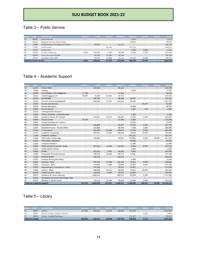# Table 3 – Public Service

| PROG | ORG                              | <b>DESCRIPTION</b>                       | <b>FACULTY</b> |         | HOURLY                   | <b>BENEFITS</b> | <b>CURRENT</b> | <b>TRAVEL</b> | CAPITAL | <b>TOTALS</b> |
|------|----------------------------------|------------------------------------------|----------------|---------|--------------------------|-----------------|----------------|---------------|---------|---------------|
| 30   | 01085                            | Event Waivers                            |                |         |                          |                 | 5,000          |               |         | 5,000         |
| 30   | 01120                            | Regional Services Partnerships           |                |         | ÷.                       |                 | 44,659         |               |         | 44,659        |
| 30   | 14900                            | <b>Small Business Development Center</b> |                | 99,506  |                          | 41,793          |                |               |         | 141,299       |
| 30   | 17005                            | <b>STEM Center</b>                       |                |         | 41,490                   |                 | 205.155        | ÷             |         | 246,645       |
| 30   | 17025                            | Science Fair                             |                | ۰       | $\overline{\phantom{a}}$ |                 | 1,500          | 8,000         | ٠.      | 9,500         |
| 30   | 18130                            | Outdoor Pathways                         | 4,500          | 166,332 | 3.038                    | 70.849          | 15.445         | 7,500         | ۰.      | 267,664       |
| 30   | 43000                            | Center for Rural Health                  |                | 86,048  | 22,000                   | 36,140          |                |               |         | 144,188       |
| 30   | 43015                            | Southern Utah AHEC                       |                | 76.937  | 15,000                   | 32,314          | 65,000         | 10.000        | ٠       | 199.251       |
|      | <b>Totals for Public Service</b> |                                          | 4,500          | 428,823 | 81,528                   | 181,096         | 336,759        | 25,500        |         | 1,058,206     |

# Table 4 – Academic Support

| PROG | <b>ORG</b> | <b>DESCRIPTION</b>                         | <b>FACULTY</b> | <b>STAFF</b>                | <b>HOURLY</b>               | <b>BENEFITS</b>             | <b>CURRENT</b>              | <b>TRAVEL</b>               | <b>CAPITAL</b>           | <b>TOTALS</b> |
|------|------------|--------------------------------------------|----------------|-----------------------------|-----------------------------|-----------------------------|-----------------------------|-----------------------------|--------------------------|---------------|
| 40   | 01275      | <b>Project NEXT</b>                        | $\blacksquare$ | 107,436                     | $\blacksquare$              | 45,123                      | $\blacksquare$              | ÷                           | ٠                        | 152,559       |
| 40   | 10040      | Catalog                                    | ×,             | $\overline{\phantom{a}}$    | ٠                           | ÷.                          | 9.500                       |                             |                          | 9,500         |
| 40   | 10096      | <b>Univ Release Time Obligations</b>       | 77,400         | ÷.                          | ÷                           | 17,028                      | $\omega$                    |                             |                          | 94,428        |
| 40   | 10110      | <b>Global Engagement</b>                   | 80,097         | 71,500                      | 21,400                      | 62,753                      | $\mathcal{L}_{\mathcal{A}}$ | $\sim$                      | $\mathbf{r}$             | 235,750       |
| 40   | 10120      | ASCAP/BMI                                  | ÷.             | 105,787                     | $\mathcal{L}_{\mathcal{A}}$ | 44,206                      | 68,707                      | ٠                           |                          | 218,700       |
| 40   | 10150      | <b>On-Line Course Development</b>          | ×              | 806,496                     | 21,397                      | 301,865                     | 38,000                      | ×                           | ÷                        | 1,167,758     |
| 40   | 10160      | <b>Faculty Recruitment</b>                 |                | ÷                           | $\sim$                      | $\sim$                      | $\omega_{\rm c}$            | 35,457                      |                          | 35,457        |
| 40   | 10170      | <b>Faculty Relocation</b>                  | ÷.             | $\blacksquare$              | ÷                           | ÷                           | 28,500                      | $\sim$                      | ÷                        | 28,500        |
| 40   | 10180      | <b>Faculty Senate</b>                      |                | $\overline{\phantom{a}}$    | $\overline{\phantom{a}}$    | $\sim$                      | 2,825                       | 855                         | $\sim$                   | 3,680         |
| 40   | 10220      | <b>Undergraduate Research</b>              | ÷.             | ÷.                          | ٠                           | ÷.                          | $\sim$                      | $\mathcal{L}_{\mathcal{A}}$ | $\sim$                   | ÷.            |
| 40   | 10250      | Honors Societies - University-wide         |                | ÷                           | ÷.                          | ÷.                          | 1,760                       | $\sim$                      | ÷.                       | 1,760         |
| 40   | 10380      | <b>Academic Grants &amp; Contracts</b>     | $\sim$         | 254,357                     | 24,571                      | 106,830                     | 13,249                      | 3,000                       | $\blacksquare$           | 402,007       |
| 40   | 10400      | <b>Faculty Center</b>                      | 74,038         | $\mathcal{L}_{\mathcal{A}}$ | $\mathcal{L}_{\mathcal{A}}$ | 31,096                      | 8,800                       | $\sim$                      | ÷.                       | 113,934       |
| 40   | 10405      | <b>Faculty Development Support</b>         | ٠              | $\omega$                    | ٠                           | $\sim$                      | 37,979                      | à.                          | $\overline{\phantom{a}}$ | 37,979        |
| 40   | 11000      | <b>Associate Provost</b>                   | ÷.             | 198,866                     | $\blacksquare$              | 83,075                      | 34,760                      | 6,000                       | $\blacksquare$           | 322,701       |
| 40   | 11050      | <b>Assistant Provost - Faculty Affairs</b> | ٠              | 192,838                     | $\blacksquare$              | 80,768                      | 5,000                       | 2,000                       | $\overline{\phantom{a}}$ | 280,606       |
| 40   | 11100      | <b>IT Operations</b>                       | ÷              | 381,780                     | 35,000                      | 159,215                     | 17,500                      | 7,500                       | $\blacksquare$           | 600,995       |
| 40   | 11115      | <b>Academic Computing</b>                  | ä,             | 477,361                     | 13,000                      | 198,044                     | 24,500                      | 10,500                      | $\blacksquare$           | 723,405       |
| 40   | 11140      | <b>Academic Systems</b>                    |                | $\Delta \sim 10$            | $\blacksquare$              | $\omega_{\rm{eff}}$         | 361,282                     | $\omega$ .                  | $\blacksquare$           | 361,282       |
| 40   | 11160      | <b>Information Technology</b>              | ٠              | 126,660                     | ٠                           | 52,891                      | 718,964                     | 3,000                       | 50,000                   | 951,515       |
| 40   | 11170      | <b>Information Mediation</b>               |                | $\blacksquare$              | $\blacksquare$              | $\omega$                    | 45,000                      | $\blacksquare$              | ÷.                       | 45,000        |
| 40   | 11200      | <b>Graduate Research</b>                   | ÷.             | $\mathbf{r}$                | ÷                           | ÷                           | 11,546                      | $\mathbf{r}$                | $\overline{\phantom{a}}$ | 11,546        |
| 40   | 12000      | Performing & Visual Arts - Dean            | ÷              | 297,132                     | 11,000                      | 124,796                     | 9,306                       | 8,500                       | ٠                        | 450,734       |
| 40   | 12205      | Kolob Canyon Review                        | ÷.             | $\mathbf{r}$                | $\sim$                      | ÷                           | 2,850                       | ×.                          | ä,                       | 2,850         |
| 40   | 12800      | <b>SUMA</b>                                | ٠              | 152,352                     | 2,045                       | 63,988                      | 8,000                       | ٠                           | ٠                        | 226,385       |
| 40   | 13000      | Humanities & Social Sciences               | ÷.             | 318,736                     | 18,000                      | 133,257                     | 51,041                      | ×.                          | ×.                       | 521,034       |
| 40   | 13180      | <b>Student Media</b>                       |                | 245,576                     | $\omega$                    | 102,978                     | $\sim$                      | ٠                           | ÷                        | 348,554       |
| 40   | 13205      | <b>Creative Writing Workshop</b>           | ÷.             | $\sim$                      | ÷                           | $\mathcal{L}_{\mathcal{A}}$ | 6,840                       | ÷                           | ٠                        | 6,840         |
| 40   | 14000      | <b>Business - Dean</b>                     | ÷              | 375,707                     | 17,358                      | 157,185                     | 23,412                      | 5,000                       | $\blacksquare$           | 578,662       |
| 40   | 15000      | <b>Education - Dean</b>                    | ÷.             | 174,865                     | 3,499                       | 73,444                      | 18,964                      | 6,393                       | ٠                        | 277,165       |
| 40   | 16000      | Engineering & Computer Sci - Dean          |                | 135,506                     | $\omega_{\rm c}$            | 56,913                      | 20,457                      | ÷.                          | ٠                        | 212,876       |
| 40   | 17000      | Science - Dean                             | ٠              | 208,284                     | 23,211                      | 86,904                      | 13,014                      | 10,000                      | ÷                        | 341,413       |
| 40   | 18000      | <b>Health Sciences - Dean</b>              | ÷.             | 133,036                     | 4,000                       | 55,875                      | 16,896                      | $\omega$                    | $\blacksquare$           | 209,807       |
| 40   | 18020      | <b>Academic &amp; Career Advising</b>      | ٠              | 1,040,410                   | ٠                           | 436,972                     | 35,000                      | 5,000                       | ٠                        | 1,517,382     |
| 40   | 19000      | Aerospace Science & Technology-Dean        | ٠              | $\sim$                      | ÷                           | $\sim$                      | $\sim$                      | $\omega$                    | ٠                        | $\sim$        |
| 40   | 41500      | Michael O Leavitt Center                   | ÷.             | 62,219                      | 23,384                      | 25,826                      | 14,938                      | 5,000                       | Ξ                        | 131,367       |
|      |            | <b>Totals for Academic Support</b>         | 231.535        | 5,866,904                   | 217,865                     | 2,501,032                   | 1,648,590                   | 108,205                     | 50.000                   | 10,624,131    |

# Table 5 – Library

| <b>PROG</b> | ORG                       | <b>DESCRIPTION</b>                | <b>FACULTY</b> | ST A FF | <b>HOURLY</b> | <b>BENEFITS</b> | <b>CURRENT</b> | TRAVEL | САРТА | <b>TOTALS</b> |
|-------------|---------------------------|-----------------------------------|----------------|---------|---------------|-----------------|----------------|--------|-------|---------------|
| 42          | 30000                     | Library                           | 665,802        | 646,812 | 90.804        | 550,599         | 165.029        | ×      |       | 2.119.046     |
| 42          | 30020                     | Library Faculty Scholarly Support |                |         |               |                 |                | 5.016  |       | 5.016         |
| 42          | 34000                     | Library - Serials/Databases       |                |         |               |                 | 271.457        |        |       | 271.457       |
|             | <b>Totals for Library</b> |                                   | 665.802        | 646.812 | 90.804        | 550.599         | 436,486        | 5,016  |       | 2.395.519     |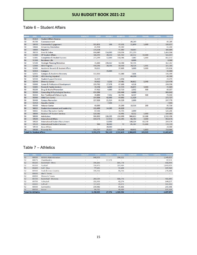# Table 6 – Student Affairs

| <b>PROG</b> | <b>ORG</b>                        | <b>DESCRIPTION</b>                            | <b>FACULTY</b>           | <b>STAFF</b> | <b>HOURLY</b>       | <b>BENEFITS</b> | <b>CURRENT</b> | <b>TRAVEL</b>         | <b>CAPITAL</b>      | <b>TOTALS</b> |
|-------------|-----------------------------------|-----------------------------------------------|--------------------------|--------------|---------------------|-----------------|----------------|-----------------------|---------------------|---------------|
| 50          | 01450                             | <b>Student Affairs Reserve</b>                | ٠                        | ٠            | $\blacksquare$      | ٠               | ÷.             | ٠                     | ٠                   | $\sim$        |
| 50          | 01700                             | Commencement                                  |                          | ÷.           | $\omega$            | $\omega$        | 49,249         | ä,                    | $\sim$              | 49,249        |
| 50          | 10430                             | <b>Community Engagement</b>                   | ٠                        | 115,851      | 506                 | 47,631          | 11,849         | 5,000                 | $\sim$              | 180,837       |
| 50          | 10444                             | <b>University Orientation</b>                 | $\overline{a}$           | 45,958       | ÷                   | 19,302          | ÷.             | ÷                     | $\sim$              | 65,260        |
| 50          | 10480                             | Registrar                                     |                          | 226,624      | ÷                   | 95,182          | 18,683         |                       | ٠                   | 340,489       |
| 50          | 20210                             | Grad & Online                                 | ٠                        | 804,849      | 114,000             | 338,036         | 211,219        | ٠                     | $\sim$              | 1,468,104     |
| 50          | 51000                             | <b>VP Student Affairs</b>                     |                          | 348,293      | 20,250              | 145,762         | 42,512         | 10,000                | $\blacksquare$      | 566,817       |
| 50          | 51005                             | <b>Completion &amp; Student Success</b>       | ٠                        | 273,299      | 12,000              | 114,786         | 7,087          | 5,000                 | ٠                   | 412,172       |
| 50          | 51300                             | <b>Residence Life</b>                         |                          | ÷            | ÷.                  | ÷.              | 8,000          | ÷.                    | ÷.                  | 8,000         |
| 50          | 51500                             | <b>Strategic Planning/Retention</b>           | ٠                        | 35,000       | 220,367             | 14,700          | 92,195         | $\mathbf{r}$          | $\blacksquare$      | 362,262       |
| 50          | 52000                             | <b>ADA Program</b>                            |                          | 190,596      | 24,596              | 80,050          | 24,528         | 5,811                 | ÷.                  | 325,581       |
| 50          | 52005                             | <b>Academic Records &amp; Student Affairs</b> | ä,                       | 90,011       |                     | 37,805          | 3,000          | 5,000                 | $\sim$              | 135,816       |
| 50          | 52010                             | Compass                                       |                          | ÷.           | 15,000              | ÷               | ÷              | ÷                     | ٠                   | 15,000        |
| 50          | 52015                             | Compass & Academic Recovery                   | $\blacksquare$           | 132,953      | $\blacksquare$      | 55,840          | 7,606          | $\tilde{\phantom{a}}$ | $\sim$              | 196,399       |
| 50          | 52100                             | <b>ADA Hearing Impaired</b>                   | ÷                        |              | ٠                   | ÷.              | 43,200         | ٠                     | ٠                   | 43,200        |
| 50          | 52530                             | <b>Student Support Services</b>               | ٠                        | 16,319       | $\sim$              | 6,854           |                | ۰                     | $\sim$              | 23,173        |
| 50          | 52540                             | <b>Diversity Center</b>                       |                          | 58,612       | 3,231               | 24,481          | 36,812         | 1,343                 | $\blacksquare$      | 124,479       |
| 50          | 53000                             | <b>Career &amp; Professional Development</b>  | ٠                        | 159,762      | 17,378              | 67,100          | 4,318          | ٠                     | ÷                   | 248,558       |
| 50          | 53005                             | Parent & Family Services                      | ä,                       | 30,294       | 6,000               | 12,723          | 20,872         | 3,000                 | ÷.                  | 72,889        |
| 50          | 55200                             | Drug & Alcohol Prevention                     | ä,                       | 37,412       | 4,000               | 15,713          | 2,532          | 500                   | ÷                   | 60,157        |
| 50          | 55300                             | Counseling & Psychological Services           | ÷.                       | 634,396      | $\mathcal{L}^{\pm}$ | 266,446         | 6,000          | ÷.                    | ÷.                  | 906,842       |
| 50          | 55350                             | Non Traditional & Returning St.               | ä,                       | 39,890       | 7,452               | 16,754          | 8,437          | 500                   | $\bar{\phantom{a}}$ | 73,033        |
| 50          | 55360                             | <b>Child Care Center</b>                      | ٠                        | 154,506      | 42,000              | 64,892          | 11,329         | ÷.                    | ٠                   | 272,727       |
| 50          | 55400                             | <b>Campus Recreation</b>                      | $\tilde{\phantom{a}}$    | 157,926      | 21,524              | 66,329          | 2,000          | ÷,                    | $\bar{\phantom{a}}$ | 247,779       |
| 50          | 55450                             | <b>Aquatics Center</b>                        | ٠                        | ÷.           | 7,166               | ÷.              | ÷.             | ÷                     | ٠                   | 7,166         |
| 50          | 55500                             | <b>Veteran Center</b>                         | ä,                       | 60,000       | ÷.                  | 25,200          | 10,316         | 200                   | ÷.                  | 95,716        |
| 50          | 56015                             | Student Involvement and Leadership            | ٠                        | 111,499      | 14,285              | 46,829          | ÷.             | ÷                     | $\sim$              | 172,613       |
| 50          | 56025                             | <b>Outdoor Recreation Center</b>              | ä,                       | 87,511       | ٠                   | 36,755          | 2,000          | ÷.                    | ÷.                  | 126,266       |
| 50          | 58000                             | <b>Assistant VP Student Services</b>          | ٠                        | 120,582      | ÷.                  | 50,491          | 8,112          | 5,000                 | $\equiv$            | 184,185       |
| 50          | 58500                             | <b>Admissions</b>                             | ä,                       | 986,902      | 126,295             | 414,499         | 966,614        | 16,188                | ×.                  | 2,510,498     |
| 50          | 59100                             | <b>International Affairs</b>                  | ٠                        | 614,571      | 17,472              | 256,345         | 66,783         | 3,000                 | $\sim$              | 958,171       |
| 50          | 59110                             | <b>International Student Recruitment</b>      | ٠                        | ٠            | 13,000              | ÷               | 148,104        | 83,570                | ٠                   | 244,674       |
| 50          | 59120                             | <b>International Student Services</b>         | $\overline{\phantom{0}}$ | 900          | 30,000              | 72              | 85,387         | 15,000                | $\sim$              | 131,359       |
| 50          | 59130                             | <b>Asian Affairs</b>                          | ä,                       | ä,           | 20,000              | ÷.              | ä,             | ä,                    | ä,                  | 20,000        |
| 50          | 59500                             | <b>Financial Aid</b>                          |                          | 456.757      | 25,617              | 191.838         | 69,951         | 6.803                 |                     | 750,966       |
|             | <b>Totals for Student Affairs</b> |                                               | ٠                        | 5,991,273    | 762,139             | 2,512,415       | 1,968,695      | 165,915               | ÷.                  | 11,400,437    |

# Table 7 – Athletics

| <b>PROG</b> | <b>DRG</b>                  | <b>DESCRIPTION</b>             | <b>FACULTY</b> | <b>STAFF</b> | <b>HOURLY</b> | <b>BENEFITS</b>          | <b>CURRENT</b> | <b>TRAVEL</b>                              | <b>CAPITAL</b>           | <b>TOTALS</b> |
|-------------|-----------------------------|--------------------------------|----------------|--------------|---------------|--------------------------|----------------|--------------------------------------------|--------------------------|---------------|
| 52          | 80000                       | <b>Athletic Administration</b> |                | 948,503      | $\sim$        | 396,522                  |                |                                            |                          | 1,345,025     |
| 52          | 80075                       | Cheerleaders                   | $\overline{a}$ | ۰            | 17,574        | $\overline{\phantom{a}}$ | ÷.             | $\overline{a}$                             | $\overline{\phantom{a}}$ | 17,574        |
| 52          | 80200                       | Basketball - Mens              |                | 396,166      |               | 165,778                  |                |                                            | -                        | 561,944       |
| 52          | 80300                       | Football                       |                | 736,475      |               | 307,484                  |                |                                            |                          | 1,043,959     |
| 52          | 80400                       | Golf - Men                     |                | 77.161       |               | 32,408                   |                |                                            | $\;$                     | 109,569       |
| 52          | 80500                       | Track & Cross Country          |                | 196,552      | $\sim$        | 81,756                   |                |                                            | ÷                        | 278,308       |
| 52          | 80600                       | Men's Tennis                   | ۰              | ÷            | ٠             | $\overline{\phantom{0}}$ | ۰              | $\overline{\phantom{a}}$                   |                          | ÷             |
| 52          | 80650                       | Women's Tennis                 |                |              | ۰.            |                          |                | ь.                                         | ۰                        |               |
| 52          | 80700                       | Basketball - Womens            | ÷              | 283,529      | ÷             | 118,776                  | -              | $\frac{1}{2} \left( \frac{1}{2} \right)^2$ | -                        | 402,305       |
| 52          | 80750                       | Volleyball                     | ×              | 101,963      | $\sim$        | 42,274                   | ÷              | ×                                          | $\sim$                   | 144,237       |
| 52          | 80800                       | Softball                       | ÷              | 117,423      | $\sim$        | 49,073                   |                |                                            | $\sim$                   | 166,496       |
| 52          | 80900                       | Gymnastics                     | s.             | 204,442      | ÷             | 85,866                   | $\sim$         | ÷.                                         | ×.                       | 290,308       |
| 52          | 80950                       | Soccer                         |                | 96,711       |               | 40,619                   |                | $\sim$                                     | -                        | 137,330       |
|             | <b>Totals for Athletics</b> |                                |                | 3.158.925    | 17.574        | 1.320.556                |                |                                            |                          | 4,497,055     |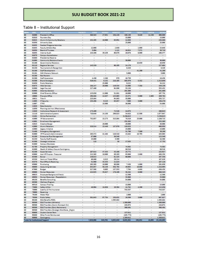# Table 8 – Institutional Support

|          | <b>DRG</b>     | <b>DESCRIPTION</b>                                      | <b>FACULT</b>  | <b>STAP</b>              | HAR BELL                 | UENEFITS                 | <b>CURRENT</b>           | <b>TRAVE</b>             | CAPITA                   | TOTALS                   |
|----------|----------------|---------------------------------------------------------|----------------|--------------------------|--------------------------|--------------------------|--------------------------|--------------------------|--------------------------|--------------------------|
| 60       | 01000          | President's Office                                      | w              | 380.583                  | 27.051                   | 158.226                  | 106,130                  | 9,849                    | 14 230                   | 696,069                  |
| 60       | 01010          | Founders Day                                            |                | ٠                        |                          | ÷                        | 15,000                   |                          |                          | 15,000                   |
| 60       | 01015<br>01030 | Alumni & Community Relations                            |                | 152,265                  | 10,000                   | 63.951                   | 12,650                   | ò.                       |                          | 238.866                  |
| 60       |                | University Gala                                         | ۰              | ٠                        | $\sim$                   | ٠                        | 25,000                   |                          |                          | 25.000                   |
| 60       | 01035<br>01045 | <b>Football Pregame Activities</b>                      |                | c<br>12,000              |                          | ÷<br>2,640               | Q<br>÷.                  | ٠                        |                          | $\overline{\phantom{a}}$ |
| 60<br>60 | 01050          | <b>Faculty Athletic Rep</b><br><b>Board of Trustees</b> | ٠<br>٠         | 5.094                    | ٠                        | 1.121                    | 16.924                   | 1,000<br>7,571           |                          | 15.640<br>30,710         |
| 60       | 01055          | Internal Audit                                          | ٠              | 144,466                  | 39,159                   | 60,676                   | 10,076                   | 6,000                    | $\overline{\phantom{a}}$ | 260,377                  |
| 60       | 01070          | <b>Campus Accreditation</b>                             |                | ٠                        | ٠                        | ۰                        | ٠                        | ٠                        |                          | ٠                        |
| 60       | 01080          | <b>Presidential Reserve</b>                             | ٠              |                          | ٠                        | ٠                        | ۰                        |                          | ٠                        | ۰                        |
| 60       | 01090          | Community Relations Events                              |                |                          |                          |                          | 30,000                   | ٠                        |                          | 30,000                   |
| 60       | 01100          | Governmental Relations                                  | ۰              | $\sim$                   | ٠                        | $\sim$                   | $\overline{\phantom{a}}$ | 10.659                   | $\overline{a}$           | 10.659                   |
| 60       | 01110          | Regional Services                                       | ٠              | 143 320                  |                          | 60.195                   | 24,176                   | ÷                        | ÷                        | 227,691                  |
| 60       | 01150          | Tournaments & Recognition                               | ۰              | $\overline{\phantom{a}}$ | ۰                        | ×.                       | 8,426                    | $\overline{\phantom{a}}$ |                          | 8,426                    |
| 60       | 01160          | Staff Development                                       | ٠              |                          |                          |                          | ٠                        | 41,200                   |                          | 41,200                   |
| 60       | 01161          | <b>SUU Womens Network</b>                               | ۰              | ×,                       | ٠                        | ٠                        | 5,000                    | ÷                        | ٠                        | 5,000                    |
| 60       | 01200          | <b>Red Rockers</b>                                      | s              |                          |                          | ٠                        | ٠                        | ٠                        |                          |                          |
| 60       | 01300          | <b>Staff Association</b>                                | ×              | 4,450                    | 2,268                    | 979                      | 10.759                   | ò.                       | ٠                        | 18,456                   |
| 60       | 01500          | <b>Brand Strategies</b>                                 |                | 519,441                  | 6.132                    | 218.165                  | 563.979                  | 5.332                    |                          | 1,313,049                |
| 60       | 01650          | <b>Public Relations</b>                                 | ٠              |                          | 25,000                   | ٠                        | 9.222                    | $\overline{\phantom{a}}$ | ٠.                       | 34,222                   |
| 60       | 01675          | <b>Web Services</b>                                     | ×              | 288,247                  | 20,000                   | 119,534                  | 14,000                   | 7,358                    | ÷                        | 449.139                  |
| 60       | 01900          | Legal Counsel                                           | ×              | 227,400                  | ٠                        | 94,896                   | 33,156                   | $\overline{\phantom{a}}$ | $\overline{\phantom{a}}$ | 355,452                  |
| 60       | 01905          | Attorney General                                        |                |                          |                          | ٠                        | 201,800                  | ÷,                       | z                        | 201,800                  |
| 60       | 02000          | Chief Diversity Officer                                 | ٠              | 123,850                  | 12,000                   | 51,881                   | 10,000                   | $\overline{a}$           | ٠                        | 197.731                  |
| 60       | 10000          | Provosts Office                                         |                | 298,888                  | 14,837                   | 125.003                  | 43.371                   | 5.000                    | 2,665                    | 489,764                  |
| 60       | 10021          | Title IX                                                | ٠              | 225,864                  |                          | 94.863                   | 35,000                   | ٠                        |                          | 355,727                  |
| 60       | 11005          | <b>IT Security</b>                                      |                | 153,498                  | 9.115                    | 63.857                   | 7,000                    | 3.000                    |                          | 236,470                  |
| 60       | 11007          | IT PCI                                                  | ×,             | $\overline{\phantom{a}}$ | 18:000                   | ٠                        | 36,000                   | ×.                       | ۰.                       | 54,000                   |
| 60       | 11020          | Data Analytics                                          |                |                          |                          |                          | ٠                        |                          |                          |                          |
| 60       | 11030          | Planning and Inst. Effectiveness                        | ۰              | $\sim$                   | ν                        | ٠                        | ٠                        | i.                       | $\overline{\phantom{a}}$ | ٠                        |
| 60       | 11040          | Institutional Research & Assessment                     | ż              | 173,409                  |                          | 72.526                   | 14,078                   |                          |                          | 260,013                  |
| 60       | 11110          | <b>Administrative Systems</b>                           | ٠              | 710.646                  | 24,150                   | 296.023                  | 34.628                   | 12.500                   | ÷,                       | 1.077.947                |
| 60       | 21401          | <b>Online Partnerships</b>                              | ٠              |                          | ۰                        | ۰                        | 3.236.613                | ۰                        |                          | 3,236,613                |
| 60       | 41000          | VP Advancement                                          | ٠              | 752,057                  | 15,273                   | 315,864                  | 78,519                   | 25,000                   | ۰.                       | 1,186,713                |
| 60       | 41001          | <b>Enrollment Management</b>                            |                |                          |                          |                          | 253.305                  | ÷                        |                          | 253.305                  |
| 60       | 41015          | <b>Creative Design</b>                                  | ¥              | ×                        | 20,000                   | ٠                        | 20,000                   | i.                       | ÷                        | 40,000                   |
| 60       | 42000          | Alumni Relations                                        |                | 328.514                  | 15,440                   | 137,976                  | 119,028                  | ٠                        |                          | 600,958                  |
| 60       | 42060          | Legacy Initiative                                       | ×              | w                        | ٠                        | ٠                        | 15,000                   | ٠                        | ÷                        | 15,000                   |
| 60       | 51400          | <b>Emergency Management</b>                             |                |                          |                          |                          | 31,700                   | 7,500                    |                          | 39,200                   |
| 60       | 61000          | VP Finance & Administration                             | ¥              | 263,372                  | 41,104                   | 110,310                  | 13,482                   | 16,795                   | ÷                        | 445,063                  |
| 60       | 61100          | <b>Enterprise Rise Management</b>                       | ۰              | 87,000                   | $\overline{\phantom{a}}$ | 36,540                   | ۰                        | ٠                        | ×                        | 123,540                  |
| 60       | 61450          | Faculty/Staff Awards                                    | ¥              | 15,000                   | ۰                        | 3,300                    | ٠                        | i.                       | ÷                        | 18,300                   |
| 60       | 61500          | Strategic Initiatives                                   |                | 118                      |                          | 50                       | 17,585                   |                          |                          | 17,753                   |
| 60       | 61600          | Campus Mandates                                         | ¥              | ч                        | ÷                        | ٠                        | ٠                        | ÷                        |                          | ٠                        |
| 60       | 61700          | <b>Property Management</b>                              | ٠              |                          |                          | ÷.                       | 74,502                   | ٠                        | ٠                        | 74,502                   |
| 60       | 61800          | Health & Saftery Closure Contingency                    | Ξ              | ٠                        | ٠                        | ٠                        | 86,516                   | ۰.                       | ÷                        | 86,516                   |
| 60       | 62100          | <b>Guest Services</b>                                   | $\overline{a}$ | 107,614                  | 47.333                   | 45.198                   | 25.772                   | ٠                        |                          | 225,917                  |
| 60       | 63000          | Asst VP Finance - Treasurer                             | ٠              | 212.365                  | 10,000                   | 89.193                   | 93.900                   | 2,800                    | ۰.                       | 408.258                  |
| 60       | 63300          | Bursar                                                  | ٠              | 146.013                  |                          | 61.325                   | 60,000                   | ٠                        | ٠                        | 267,338                  |
| 60       | 63330          | Centrum Ticket Office                                   | ٠              | 69,800                   | 8,815                    | 29,214                   | ÷                        | ٠                        | ×                        | 107,829                  |
| 60       | 63370          | Post Office & Receiving                                 |                | 51,960                   | 33,333                   | 21,823                   | ٠                        |                          |                          | 107,116                  |
| 60       | 65000          | Purchasing                                              | ٠              | 192.395                  | 10,000                   | 80.806                   | 7,438                    | 1,000                    |                          | 291.639                  |
| 60       | 66000          | <b>Accounting Services</b>                              |                | 854,057                  | 50,249                   | 358,704                  | 49,985                   | 16,000                   | ٠                        | 1,328,995                |
| 60       | 67000          | Budget                                                  | ٠              | 327,508                  | 9.005                    | 137,553                  | 7.704                    | 4.688                    | $\overline{a}$           | 486,458                  |
| 60       | 69000          | <b>Human Resources</b>                                  |                | 424 925                  | 35.027                   | 176,109                  | 38.284                   | 6,000                    |                          | 680.345                  |
| 60       | 69025          | <b>Employee Background Checks</b>                       | u,             | ۷                        | ٠                        | ٠                        | 12,500                   | ٠                        | i.                       | 12,500                   |
| 60       | 69050          | Human Resources - PeopleAdmin                           | ÷              | ÷                        | ۰                        | ٠                        | 33,900                   | ٠                        | ÷                        | 33,900                   |
| 60       | 69150          | <b>Benefits Consulting</b>                              | ÷              | ٠                        | s.                       | $\omega$                 | 54,000                   | ×.                       | ٠                        | 54,000                   |
| 60       | 69300          | Wellness Program                                        |                |                          |                          | ÷                        | $\ddotsc$                |                          |                          | $\overline{\phantom{a}}$ |
| 60       | 69310          | Campus Training                                         | ٠              | u,                       | s.                       | $\overline{\phantom{a}}$ | 13,000                   | ×.                       | ٠                        | 13,000                   |
| 60       | 75000          | Safety & Risk                                           |                | 46.904                   | 18.656                   | 19.394                   | 24,702                   | 4.200                    | ×,                       | 113,856                  |
| 60       | 78000          | Liability & Fire Insurance                              | ٠              | ÷                        | $\overline{\phantom{a}}$ | $\overline{\phantom{a}}$ | 743,537                  | $\overline{\phantom{a}}$ |                          | 743,537                  |
| 60       | 79000          | Receiving                                               |                |                          |                          |                          | ÷                        | ¥                        | ÷                        | $\sim$                   |
| 60       | 79100          | Motor Pool                                              | r.             | ٠                        | ο                        | ٠                        | 2,000                    | ٠                        |                          | 2,000                    |
| 60       | 79500          | <b>Public Safety</b>                                    | ٠              | 381.043                  | 97,754                   | 158,631                  | 26,599                   | 3,000                    | $\overline{\phantom{a}}$ | 667,027                  |
| 60       | 90100          | <b>E&amp;G Benefits POOL</b>                            | ٠              | ٠                        |                          | 1,565,884                | $\sim$                   | ٠                        | $\overline{\phantom{a}}$ | 1,565,884                |
| 52       | 90500          | E&G Transfers (Athletics)                               |                |                          |                          | ٠                        | 1.300,000                |                          |                          | 1,300,000                |
| 60       | 90500          | E&G Transfers (Comm Outreach Ctr)                       | ٠              | $\ddot{\phantom{0}}$     | ٠                        | ٠                        | 228,074                  | $\overline{\phantom{a}}$ | $\overline{a}$           | 228,074                  |
| 60       | 90500          | E&G Transfers (Early Retirement)                        | ٠              | ٠                        |                          |                          | 360,491                  | ÷                        |                          | 360,491                  |
| 60       | 90500          | E&G Transfers (Strategic Workforce Engine               | ۰              | ٠                        | ٠                        | ×.                       | ٠.                       | ٠                        | $\overline{\phantom{a}}$ | ÷,                       |
| 60       | 90600          | <b>Student Center Rent</b>                              |                |                          |                          | $\ddot{\phantom{1}}$     | 137,011                  | ÷                        | ٠                        | 137,011                  |
| 60       | 90800          | Other Funds Reimbursed                                  | ٠              | ۰                        | ٠                        | ٠                        | (165, 773)               | ٠                        | $\overline{\phantom{a}}$ | (165, 773)               |
| 60       | 90900          | Contingency                                             | ٠              |                          |                          | ä,                       | 1,389,612                |                          |                          | 1,389,612                |
|          |                |                                                         |                | 7,824,066                |                          | 4,832,410                |                          |                          |                          |                          |